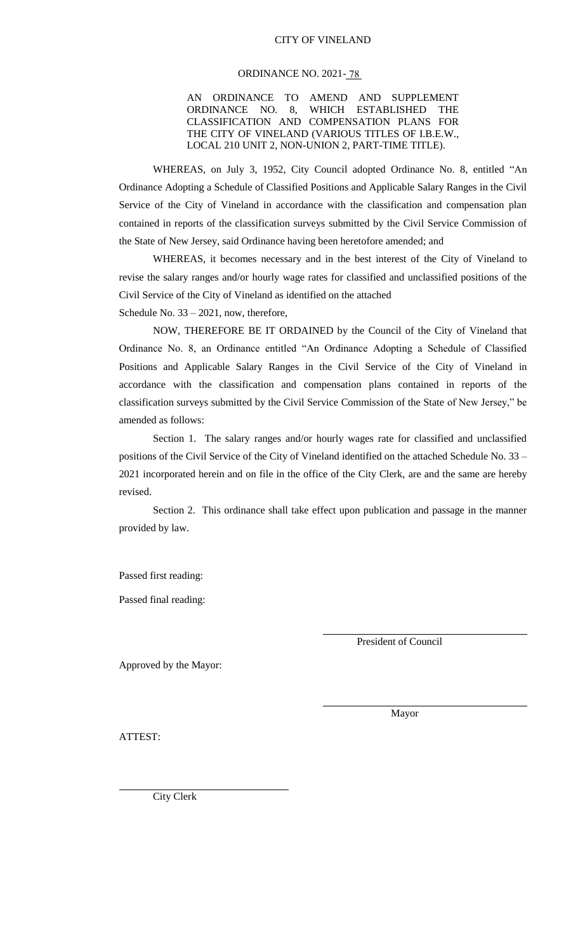#### CITY OF VINELAND

#### ORDINANCE NO. 2021- 78

AN ORDINANCE TO AMEND AND SUPPLEMENT ORDINANCE NO. 8, WHICH ESTABLISHED THE CLASSIFICATION AND COMPENSATION PLANS FOR THE CITY OF VINELAND (VARIOUS TITLES OF I.B.E.W., LOCAL 210 UNIT 2, NON-UNION 2, PART-TIME TITLE).

WHEREAS, on July 3, 1952, City Council adopted Ordinance No. 8, entitled "An Ordinance Adopting a Schedule of Classified Positions and Applicable Salary Ranges in the Civil Service of the City of Vineland in accordance with the classification and compensation plan contained in reports of the classification surveys submitted by the Civil Service Commission of the State of New Jersey, said Ordinance having been heretofore amended; and

WHEREAS, it becomes necessary and in the best interest of the City of Vineland to revise the salary ranges and/or hourly wage rates for classified and unclassified positions of the Civil Service of the City of Vineland as identified on the attached Schedule No. 33 – 2021, now, therefore,

NOW, THEREFORE BE IT ORDAINED by the Council of the City of Vineland that Ordinance No. 8, an Ordinance entitled "An Ordinance Adopting a Schedule of Classified Positions and Applicable Salary Ranges in the Civil Service of the City of Vineland in accordance with the classification and compensation plans contained in reports of the classification surveys submitted by the Civil Service Commission of the State of New Jersey," be amended as follows:

Section 1. The salary ranges and/or hourly wages rate for classified and unclassified positions of the Civil Service of the City of Vineland identified on the attached Schedule No. 33 – 2021 incorporated herein and on file in the office of the City Clerk, are and the same are hereby revised.

Section 2. This ordinance shall take effect upon publication and passage in the manner provided by law.

Passed first reading:

Passed final reading:

President of Council

Approved by the Mayor:

Mayor

ATTEST:

City Clerk